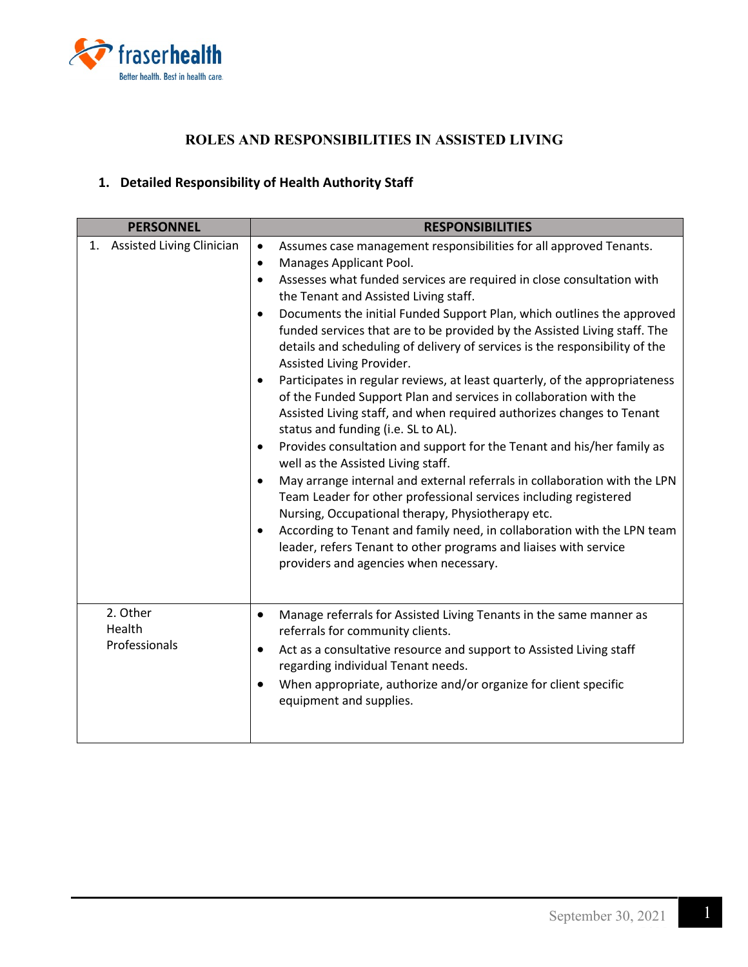

## **ROLES AND RESPONSIBILITIES IN ASSISTED LIVING**

## **1. Detailed Responsibility of Health Authority Staff**

| <b>PERSONNEL</b>                       | <b>RESPONSIBILITIES</b>                                                                                                                                                                                                                                                                                                                                                                                                                                                                                                                                                                                                                                                                                                                                                                                                                                                                                                                                                                                                                                                                                                                                                                                                                                                                                                                                                       |
|----------------------------------------|-------------------------------------------------------------------------------------------------------------------------------------------------------------------------------------------------------------------------------------------------------------------------------------------------------------------------------------------------------------------------------------------------------------------------------------------------------------------------------------------------------------------------------------------------------------------------------------------------------------------------------------------------------------------------------------------------------------------------------------------------------------------------------------------------------------------------------------------------------------------------------------------------------------------------------------------------------------------------------------------------------------------------------------------------------------------------------------------------------------------------------------------------------------------------------------------------------------------------------------------------------------------------------------------------------------------------------------------------------------------------------|
| <b>Assisted Living Clinician</b><br>1. | Assumes case management responsibilities for all approved Tenants.<br>$\bullet$<br>Manages Applicant Pool.<br>$\bullet$<br>Assesses what funded services are required in close consultation with<br>$\bullet$<br>the Tenant and Assisted Living staff.<br>Documents the initial Funded Support Plan, which outlines the approved<br>$\bullet$<br>funded services that are to be provided by the Assisted Living staff. The<br>details and scheduling of delivery of services is the responsibility of the<br>Assisted Living Provider.<br>Participates in regular reviews, at least quarterly, of the appropriateness<br>$\bullet$<br>of the Funded Support Plan and services in collaboration with the<br>Assisted Living staff, and when required authorizes changes to Tenant<br>status and funding (i.e. SL to AL).<br>Provides consultation and support for the Tenant and his/her family as<br>$\bullet$<br>well as the Assisted Living staff.<br>May arrange internal and external referrals in collaboration with the LPN<br>$\bullet$<br>Team Leader for other professional services including registered<br>Nursing, Occupational therapy, Physiotherapy etc.<br>According to Tenant and family need, in collaboration with the LPN team<br>$\bullet$<br>leader, refers Tenant to other programs and liaises with service<br>providers and agencies when necessary. |
| 2. Other<br>Health<br>Professionals    | Manage referrals for Assisted Living Tenants in the same manner as<br>$\bullet$<br>referrals for community clients.<br>Act as a consultative resource and support to Assisted Living staff<br>$\bullet$<br>regarding individual Tenant needs.<br>When appropriate, authorize and/or organize for client specific<br>equipment and supplies.                                                                                                                                                                                                                                                                                                                                                                                                                                                                                                                                                                                                                                                                                                                                                                                                                                                                                                                                                                                                                                   |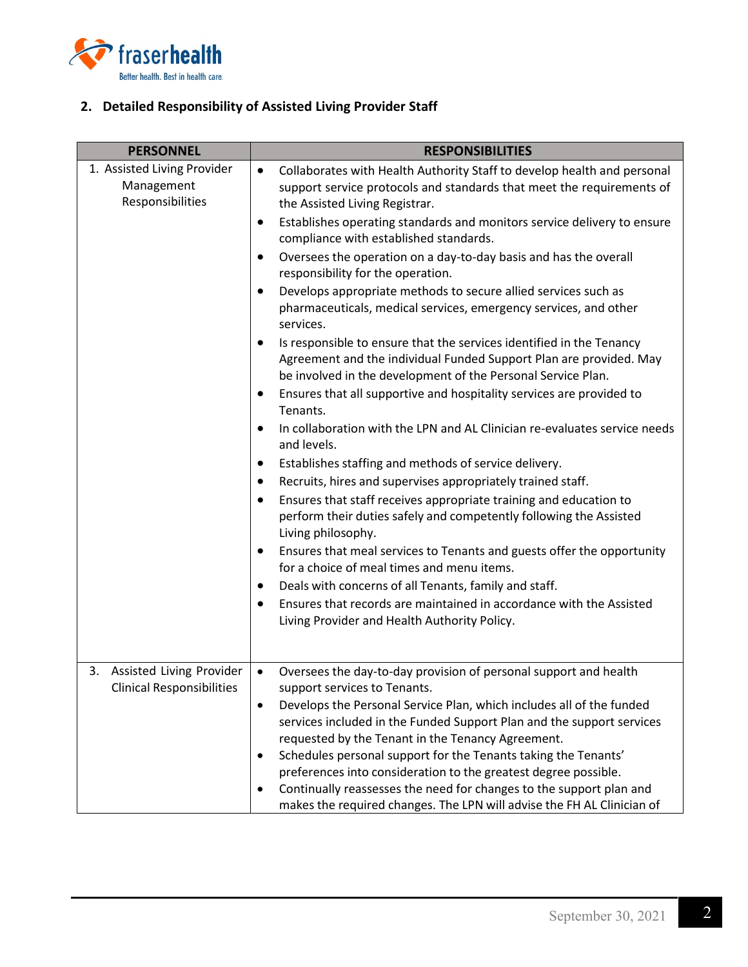

## **2. Detailed Responsibility of Assisted Living Provider Staff**

| <b>PERSONNEL</b>                                              | <b>RESPONSIBILITIES</b>                                                                                                                                                                                    |
|---------------------------------------------------------------|------------------------------------------------------------------------------------------------------------------------------------------------------------------------------------------------------------|
| 1. Assisted Living Provider<br>Management<br>Responsibilities | Collaborates with Health Authority Staff to develop health and personal<br>$\bullet$<br>support service protocols and standards that meet the requirements of<br>the Assisted Living Registrar.            |
|                                                               | Establishes operating standards and monitors service delivery to ensure<br>$\bullet$<br>compliance with established standards.                                                                             |
|                                                               | Oversees the operation on a day-to-day basis and has the overall<br>$\bullet$<br>responsibility for the operation.                                                                                         |
|                                                               | Develops appropriate methods to secure allied services such as<br>pharmaceuticals, medical services, emergency services, and other<br>services.                                                            |
|                                                               | Is responsible to ensure that the services identified in the Tenancy<br>Agreement and the individual Funded Support Plan are provided. May<br>be involved in the development of the Personal Service Plan. |
|                                                               | Ensures that all supportive and hospitality services are provided to<br>Tenants.                                                                                                                           |
|                                                               | In collaboration with the LPN and AL Clinician re-evaluates service needs<br>$\bullet$<br>and levels.                                                                                                      |
|                                                               | Establishes staffing and methods of service delivery.                                                                                                                                                      |
|                                                               | Recruits, hires and supervises appropriately trained staff.                                                                                                                                                |
|                                                               | Ensures that staff receives appropriate training and education to<br>perform their duties safely and competently following the Assisted<br>Living philosophy.                                              |
|                                                               | Ensures that meal services to Tenants and guests offer the opportunity<br>for a choice of meal times and menu items.                                                                                       |
|                                                               | Deals with concerns of all Tenants, family and staff.                                                                                                                                                      |
|                                                               | Ensures that records are maintained in accordance with the Assisted<br>Living Provider and Health Authority Policy.                                                                                        |
| 3. Assisted Living Provider                                   | Oversees the day-to-day provision of personal support and health<br>$\bullet$                                                                                                                              |
| <b>Clinical Responsibilities</b>                              | support services to Tenants.                                                                                                                                                                               |
|                                                               | Develops the Personal Service Plan, which includes all of the funded<br>$\bullet$                                                                                                                          |
|                                                               | services included in the Funded Support Plan and the support services                                                                                                                                      |
|                                                               | requested by the Tenant in the Tenancy Agreement.                                                                                                                                                          |
|                                                               | Schedules personal support for the Tenants taking the Tenants'<br>preferences into consideration to the greatest degree possible.                                                                          |
|                                                               | Continually reassesses the need for changes to the support plan and                                                                                                                                        |
|                                                               | makes the required changes. The LPN will advise the FH AL Clinician of                                                                                                                                     |